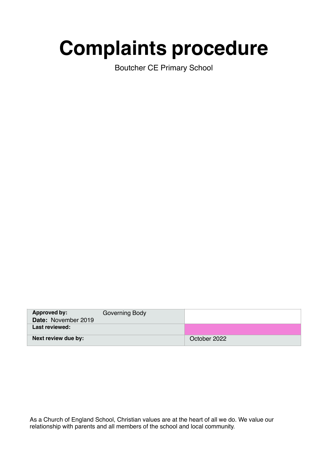# **Complaints procedure**

Boutcher CE Primary School

| <b>Approved by:</b><br>Date: November 2019 | Governing Body |              |
|--------------------------------------------|----------------|--------------|
| Last reviewed:                             |                |              |
| Next review due by:                        |                | October 2022 |

As a Church of England School, Christian values are at the heart of all we do. We value our relationship with parents and all members of the school and local community.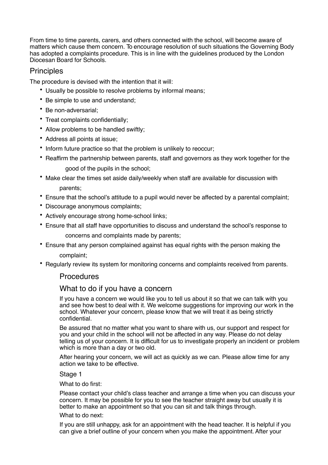From time to time parents, carers, and others connected with the school, will become aware of matters which cause them concern. To encourage resolution of such situations the Governing Body has adopted a complaints procedure. This is in line with the guidelines produced by the London Diocesan Board for Schools.

# **Principles**

The procedure is devised with the intention that it will:

- Usually be possible to resolve problems by informal means;
- Be simple to use and understand;
- Be non-adversarial;
- Treat complaints confidentially;
- Allow problems to be handled swiftly;
- Address all points at issue;
- Inform future practice so that the problem is unlikely to reoccur;
- Reaffirm the partnership between parents, staff and governors as they work together for the good of the pupils in the school;
- Make clear the times set aside daily/weekly when staff are available for discussion with parents;
- Ensure that the school's attitude to a pupil would never be affected by a parental complaint;
- Discourage anonymous complaints;
- Actively encourage strong home-school links;
- Ensure that all staff have opportunities to discuss and understand the school's response to concerns and complaints made by parents;
- Ensure that any person complained against has equal rights with the person making the complaint;
- Regularly review its system for monitoring concerns and complaints received from parents.

## **Procedures**

## What to do if you have a concern

If you have a concern we would like you to tell us about it so that we can talk with you and see how best to deal with it. We welcome suggestions for improving our work in the school. Whatever your concern, please know that we will treat it as being strictly confidential.

Be assured that no matter what you want to share with us, our support and respect for you and your child in the school will not be affected in any way. Please do not delay telling us of your concern. It is difficult for us to investigate properly an incident or problem which is more than a day or two old.

After hearing your concern, we will act as quickly as we can. Please allow time for any action we take to be effective.

#### Stage 1

What to do first:

Please contact your child's class teacher and arrange a time when you can discuss your concern. It may be possible for you to see the teacher straight away but usually it is better to make an appointment so that you can sit and talk things through.

#### What to do next:

If you are still unhappy, ask for an appointment with the head teacher. It is helpful if you can give a brief outline of your concern when you make the appointment.After your